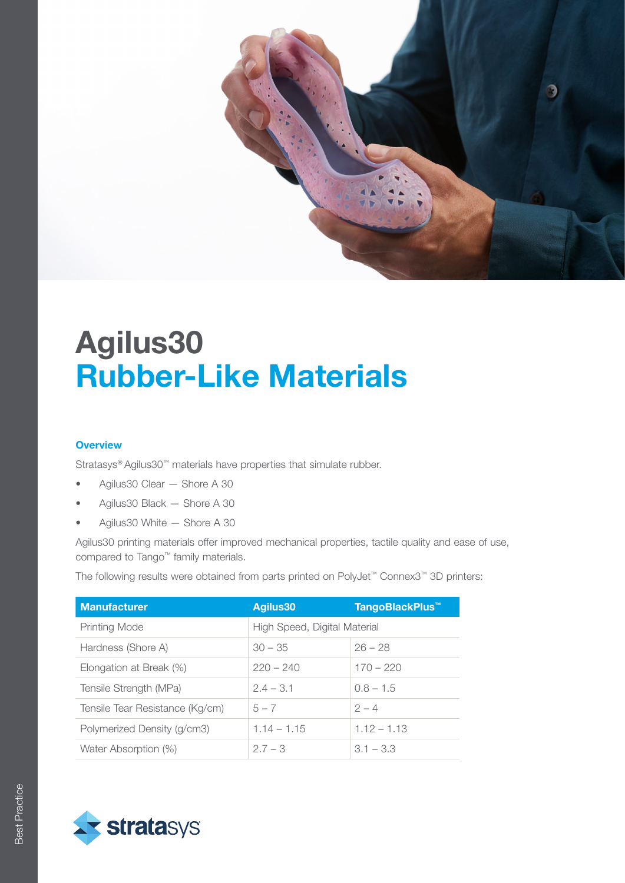

#### **Overview**

Stratasys® Agilus30™ materials have properties that simulate rubber.

- Agilus30 Clear Shore A 30
- Agilus30 Black Shore A 30
- Agilus30 White Shore A 30

Agilus30 printing materials offer improved mechanical properties, tactile quality and ease of use, compared to Tango™ family materials.

The following results were obtained from parts printed on PolyJet™ Connex3™ 3D printers:

| <b>Manufacturer</b>             | Agilus30                     | TangoBlackPlus <sup>™</sup> |  |
|---------------------------------|------------------------------|-----------------------------|--|
| <b>Printing Mode</b>            | High Speed, Digital Material |                             |  |
| Hardness (Shore A)              | $30 - 35$                    | $26 - 28$                   |  |
| Elongation at Break (%)         | $220 - 240$                  | $170 - 220$                 |  |
| Tensile Strength (MPa)          | $2.4 - 3.1$                  | $0.8 - 1.5$                 |  |
| Tensile Tear Resistance (Kg/cm) | $5 - 7$                      | $2 - 4$                     |  |
| Polymerized Density (g/cm3)     | $1.14 - 1.15$                | $1.12 - 1.13$               |  |
| Water Absorption (%)            | $2.7 - 3$                    | $3.1 - 3.3$                 |  |

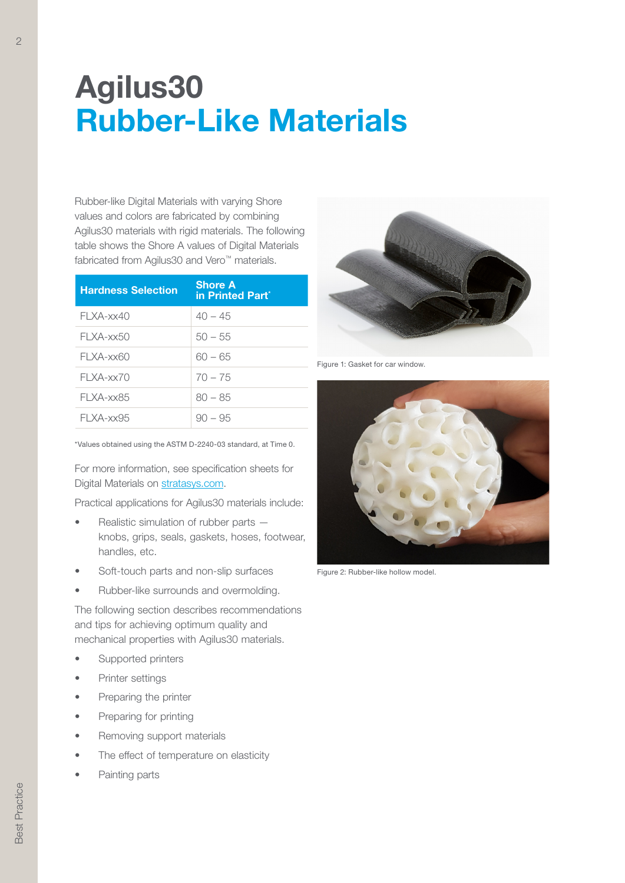Rubber-like Digital Materials with varying Shore values and colors are fabricated by combining Agilus30 materials with rigid materials. The following table shows the Shore A values of Digital Materials fabricated from Agilus30 and Vero™ materials.

| <b>Hardness Selection</b> | <b>Shore A</b><br>in Printed Part <sup>*</sup> |
|---------------------------|------------------------------------------------|
| FI XA-xx40                | $40 - 45$                                      |
| FI XA-xx50                | $50 - 55$                                      |
| FI XA-xx60                | 60 – 65                                        |
| $FI$ XA-xx70              | $70 - 75$                                      |
| FI XA-xx85                | $80 - 85$                                      |
| FI XA-xx95                | $90 - 95$                                      |

\*Values obtained using the ASTM D-2240-03 standard, at Time 0.

For more information, see specification sheets for Digital Materials on [stratasys.com.](http://www.stratasys.com)

Practical applications for Agilus30 materials include:

- Realistic simulation of rubber parts knobs, grips, seals, gaskets, hoses, footwear, handles, etc.
- Soft-touch parts and non-slip surfaces
- Rubber-like surrounds and overmolding.

The following section describes recommendations and tips for achieving optimum quality and mechanical properties with Agilus30 materials.

- Supported printers
- Printer settings
- Preparing the printer
- Preparing for printing
- Removing support materials
- The effect of temperature on elasticity
- Painting parts



Figure 1: Gasket for car window.



Figure 2: Rubber-like hollow model.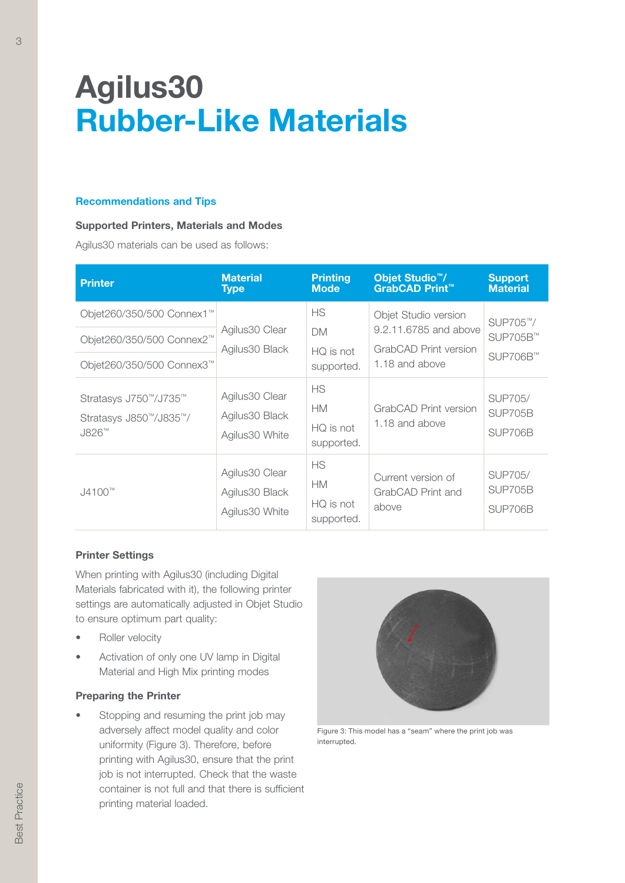#### Recommendations and Tips

### Supported Printers, Materials and Modes

Agilus30 materials can be used as follows:

| <b>Printer</b>                                                                                  | <b>Material</b><br><b>Type</b>                      | <b>Printing</b><br><b>Mode</b>                    | Objet Studio <sup>™</sup> /<br><b>GrabCAD Print™</b>                                     | <b>Support</b><br><b>Material</b>           |
|-------------------------------------------------------------------------------------------------|-----------------------------------------------------|---------------------------------------------------|------------------------------------------------------------------------------------------|---------------------------------------------|
| Objet260/350/500 Connex1™<br>Objet260/350/500 Connex2™<br>Objet260/350/500 Connex3 <sup>™</sup> | Agilus30 Clear<br>Agilus30 Black                    | <b>HS</b><br><b>DM</b><br>HQ is not<br>supported. | Objet Studio version<br>9.2.11.6785 and above<br>GrabCAD Print version<br>1.18 and above | SUP705™/<br>SUP705B™<br>SUP706B™            |
| Stratasys J750™/J735™<br>Stratasys J850 <sup>™</sup> /J835™/<br>J826™                           | Agilus30 Clear<br>Agilus 30 Black<br>Agilus30 White | <b>HS</b><br><b>HM</b><br>HQ is not<br>supported. | GrabCAD Print version<br>1.18 and above                                                  | <b>SUP705/</b><br><b>SUP705B</b><br>SUP706B |
| $J4100^{m}$                                                                                     | Agilus30 Clear<br>Agilus30 Black<br>Agilus30 White  | <b>HS</b><br><b>HM</b><br>HQ is not<br>supported. | Current version of<br>GrabCAD Print and<br>above                                         | <b>SUP705/</b><br><b>SUP705B</b><br>SUP706B |

## Printer Settings

When printing with Agilus30 (including Digital Materials fabricated with it), the following printer settings are automatically adjusted in Objet Studio to ensure optimum part quality:

- Roller velocity
- Activation of only one UV lamp in Digital Material and High Mix printing modes

## Preparing the Printer

Stopping and resuming the print job may adversely affect model quality and color uniformity (Figure 3). Therefore, before printing with Agilus30, ensure that the print job is not interrupted. Check that the waste container is not full and that there is sufficient printing material loaded.



Figure 3: This model has a "seam" where the print job was interrupted.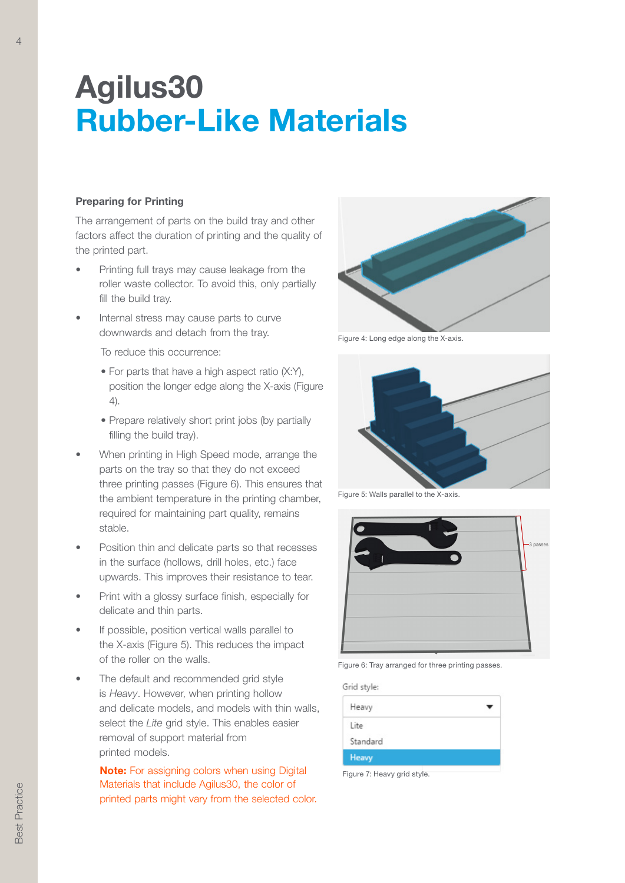## Preparing for Printing

The arrangement of parts on the build tray and other factors affect the duration of printing and the quality of the printed part.

- Printing full trays may cause leakage from the roller waste collector. To avoid this, only partially fill the build tray.
- Internal stress may cause parts to curve downwards and detach from the tray.

To reduce this occurrence:

- For parts that have a high aspect ratio (X:Y), position the longer edge along the X-axis (Figure 4).
- Prepare relatively short print jobs (by partially filling the build tray).
- When printing in High Speed mode, arrange the parts on the tray so that they do not exceed three printing passes (Figure 6). This ensures that the ambient temperature in the printing chamber, required for maintaining part quality, remains stable.
- Position thin and delicate parts so that recesses in the surface (hollows, drill holes, etc.) face upwards. This improves their resistance to tear.
- Print with a glossy surface finish, especially for delicate and thin parts.
- If possible, position vertical walls parallel to the X-axis (Figure 5). This reduces the impact of the roller on the walls.
- The default and recommended grid style is *Heavy*. However, when printing hollow and delicate models, and models with thin walls, select the *Lite* grid style. This enables easier removal of support material from printed models.

**Note:** For assigning colors when using Digital Materials that include Agilus30, the color of printed parts might vary from the selected color.



Figure 4: Long edge along the X-axis.



Figure 5: Walls parallel to the X-axis.



Figure 6: Tray arranged for three printing passes.

Grid style:

| Heavy        |  |
|--------------|--|
| Lite         |  |
| Standard     |  |
| <b>Heavy</b> |  |
|              |  |

Figure 7: Heavy grid style.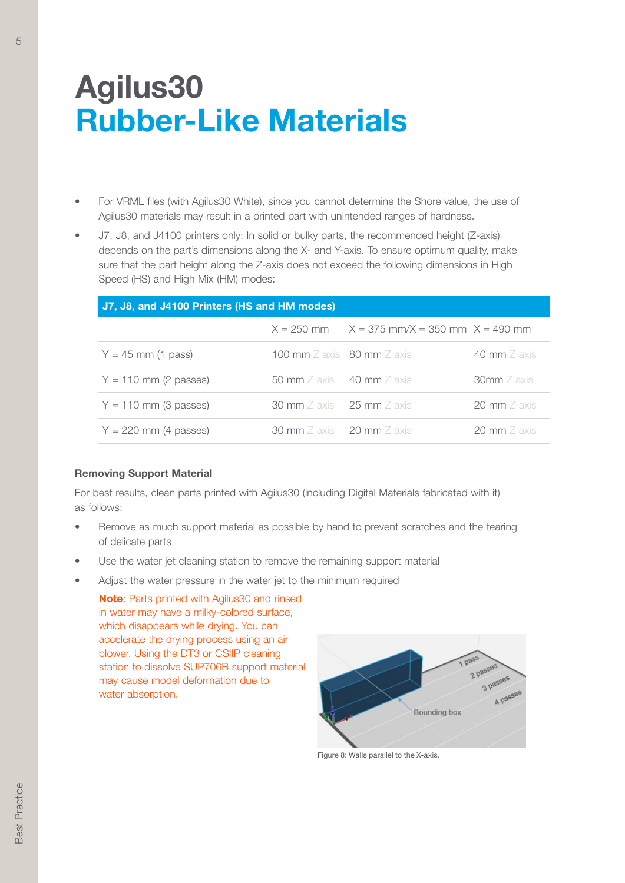- For VRML files (with Agilus30 White), since you cannot determine the Shore value, the use of Agilus30 materials may result in a printed part with unintended ranges of hardness.
- J7, J8, and J4100 printers only: In solid or bulky parts, the recommended height (Z-axis) depends on the part's dimensions along the X- and Y-axis. To ensure optimum quality, make sure that the part height along the Z-axis does not exceed the following dimensions in High Speed (HS) and High Mix (HM) modes:

| J7, J8, and J4100 Printers (HS and HM modes) |                                                  |                                      |                        |  |  |  |
|----------------------------------------------|--------------------------------------------------|--------------------------------------|------------------------|--|--|--|
|                                              | $X = 250$ mm                                     | $X = 375$ mm/X = 350 mm $X = 490$ mm |                        |  |  |  |
| $Y = 45$ mm (1 pass)                         | 100 mm $\mathbb Z$ axis   80 mm $\mathbb Z$ axis |                                      | 40 mm $\mathbb Z$ axis |  |  |  |
| $Y = 110$ mm (2 passes)                      | 50 mm $\mathbb Z$ axis                           | $\pm$ 40 mm Z axis                   | $30$ mm $Z$ axis       |  |  |  |
| $Y = 110$ mm (3 passes)                      | <b>30 mm</b> $Z$ axis                            | 25 mm $Z$ axis                       | 20 mm $Z$ axis         |  |  |  |
| $Y = 220$ mm (4 passes)                      | 30 mm Z axis 20 mm Z axis                        |                                      | 20 mm $Z$ axis         |  |  |  |

## Removing Support Material

For best results, clean parts printed with Agilus30 (including Digital Materials fabricated with it) as follows:

- Remove as much support material as possible by hand to prevent scratches and the tearing of delicate parts
- Use the water jet cleaning station to remove the remaining support material
- Adjust the water pressure in the water jet to the minimum required

Note: Parts printed with Agilus30 and rinsed in water may have a milky-colored surface, which disappears while drying. You can accelerate the drying process using an air blower. Using the DT3 or CSIIP cleaning station to dissolve SUP706B support material may cause model deformation due to water absorption.



Figure 8: Walls parallel to the X-axis.